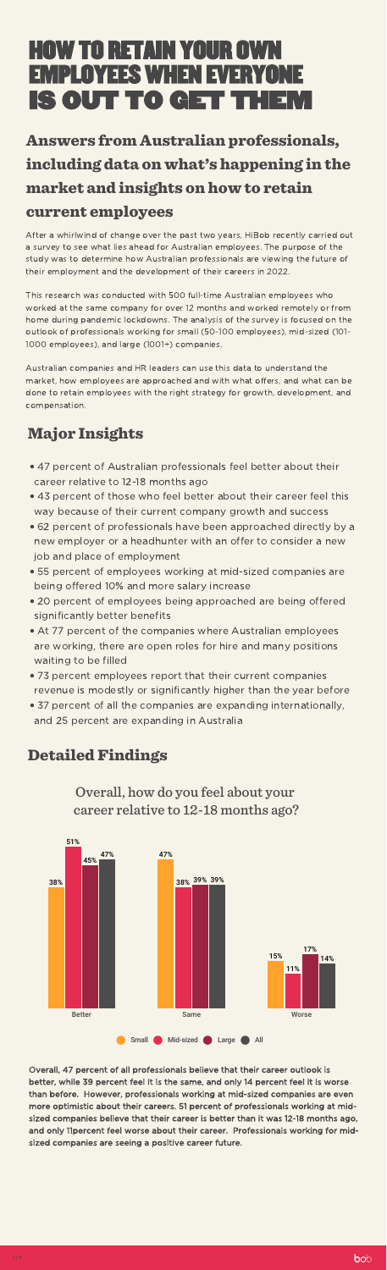After a whirlwind of change over the past two years, HiBob recently carried out a survey to see what lies ahead for Australian employees. The purpose of the study was to determine how Australian professionals are viewing the future of their employment and the development of their careers in 2022.

This research was conducted with 500 full-time Australian employees who worked at the same company for over 12 months and worked remotely or from home during pandemic lockdowns. The analysis of the survey is focused on the outlook of professionals working for small (50-100 employees), mid-sized (101- 1000 employees), and large (1001+) companies.

Australian companies and HR leaders can use this data to understand the market, how employees are approached and with what offers, and what can be done to retain employees with the right strategy for growth, development, and compensation.

# Major Insights

- $\mathcal{L}$ 47 percent of Australian professionals feel better about their career relative to 12-18 months ago
- 
- 11. 43 percent of those who feel better about their career feel this way because of their current company growth and success
- $\overline{a}$ 62 percent of professionals have been approached directly by a new employer or a headhunter with an offer to consider a new job and place of employment
- $\mathbb{R}^n$ 55 percent of employees working at mid-sized companies are being offered 10% and more salary increase
- $\mathcal{L}$ 20 percent of employees being approached are being offered significantly better benefits
- 11. At 77 percent of the companies where Australian employees are working, there are open roles for hire and many positions waiting to be filled
- 71 73 percent employees report that their current companies revenue is modestly or significantly higher than the year before
- 37 percent of all the companies are expanding internationally, and 25 percent are expanding in Australia

# **Detailed Findings**

# IS OUT TO GET THEM HOW TO RETAIN YOUR OWN EMPLOYEES WHEN EVERYONE

Overall, how do you feel about your career relative to 12-18 months ago?

Overall, 47 percent of all professionals believe that their career outlook is better, while 39 percent feel it is the same, and only 14 percent feel it is worse than before. However, professionals working at mid-sized companies are even more optimistic about their careers. 51 percent of professionals working at midsized companies believe that their career is better than it was 12-18 months ago, and only 11percent feel worse about their career. Professionals working for midsized companies are seeing a positive career future.



# Answers from Australian professionals, including data on what's happening in the market and insights on how to retain current employees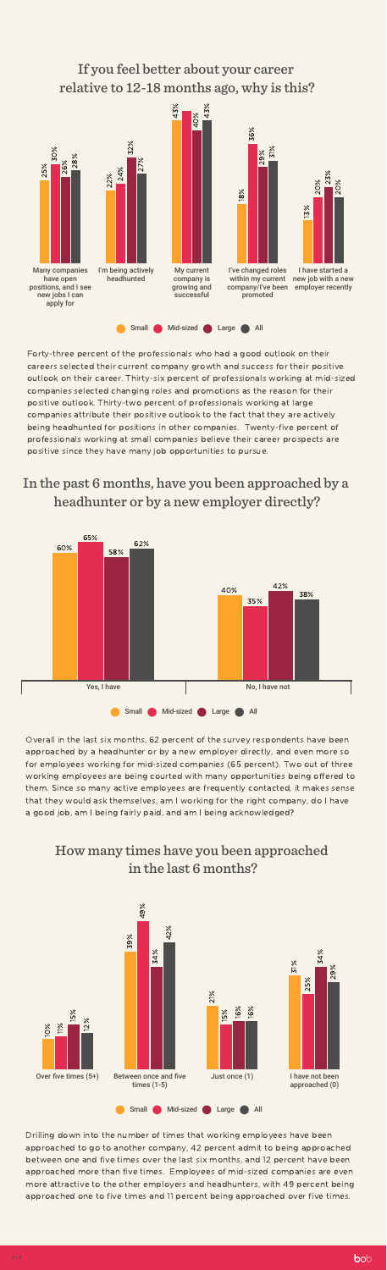#### If you feel better about your career relative to 12-18 months ago, why is this?

Forty-three percent of the professionals who had a good outlook on their careers selected their current company growth and success for their positive outlook on their career. Thirty-six percent of professionals working at mid-sized companies selected changing roles and promotions as the reason for their positive outlook. Thirty-two percent of professionals working at large companies attribute their positive outlook to the fact that they are actively being headhunted for positions in other companies. Twenty-five percent of professionals working at small companies believe their career prospects are positive since they have many job opportunities to pursue.

#### In the past 6 months, have you been approached by a headhunter or by a new employer directly?



Overall in the last six months, 62 percent of the survey respondents have been approached by a headhunter or by a new employer directly, and even more so for employees working for mid-sized companies (65 percent). Two out of three working employees are being courted with many opportunities being offered to them. Since so many active employees are frequently contacted, it makes sense that they would ask themselves, am I working for the right company, do I have a good job, am I being fairly paid, and am I being acknowledged?

#### How many times have you been approached in the last 6 months?

Drilling down into the number of times that working employees have been approached to go to another company, 42 percent admit to being approached between one and five times over the last six months, and 12 percent have been approached more than five times. Employees of mid-sized companies are even more attractive to the other employers and headhunters, with 49 percent being approached one to five times and 11 percent being approached over five times.



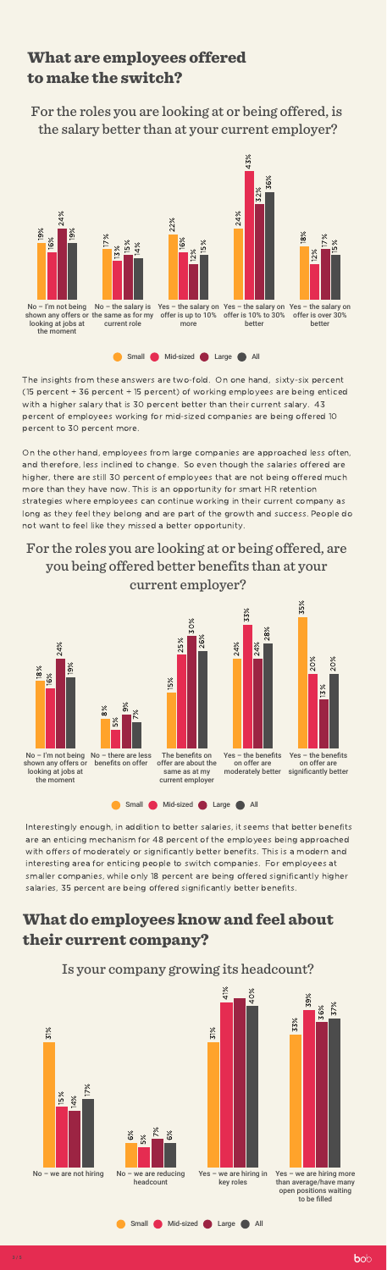For the roles you are looking at or being offered, is the salary better than at your current employer?

The insights from these answers are two-fold. On one hand, sixty-six percent (15 percent + 36 percent + 15 percent) of working employees are being enticed with a higher salary that is 30 percent better than their current salary. 43 percent of employees working for mid-sized companies are being offered 10 percent to 30 percent more.

On the other hand, employees from large companies are approached less often, and therefore, less inclined to change. So even though the salaries offered are higher, there are still 30 percent of employees that are not being offered much more than they have now. This is an opportunity for smart HR retention strategies where employees can continue working in their current company as long as they feel they belong and are part of the growth and success. People do not want to feel like they missed a better opportunity.

# For the roles you are looking at or being offered, are you being offered better benefits than at your current employer?

Interestingly enough, in addition to better salaries, it seems that better benefits are an enticing mechanism for 48 percent of the employees being approached with offers of moderately or significantly better benefits. This is a modern and interesting area for enticing people to switch companies. For employees at smaller companies, while only 18 percent are being offered significantly higher salaries, 35 percent are being offered significantly better benefits.

Is your company growing its headcount?

# What are employees offered to make the switch?

# What do employees know and feel about their current company?





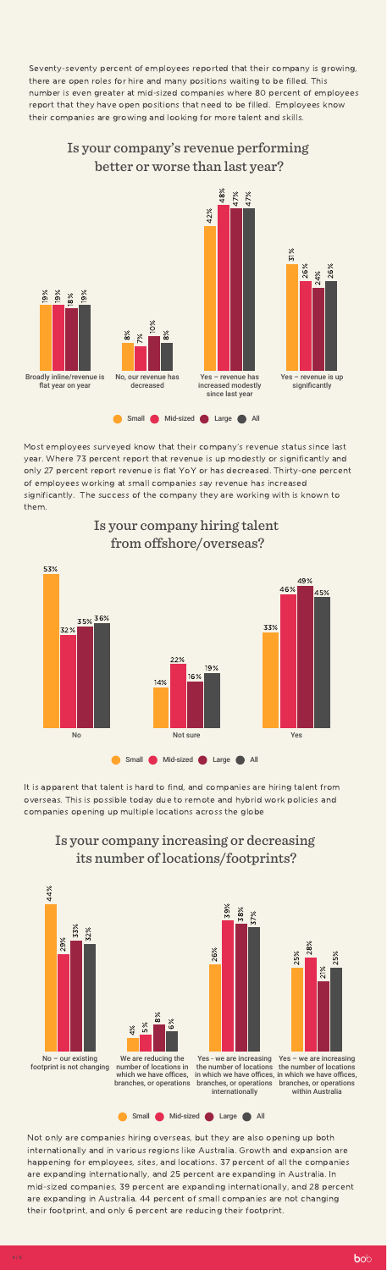#### Is your company's revenue performing better or worse than last year?

Most employees surveyed know that their company's revenue status since last year. Where 73 percent report that revenue is up modestly or significantly and only 27 percent report revenue is flat YoY or has decreased. Thirty-one percent of employees working at small companies say revenue has increased significantly. The success of the company they are working with is known to

them.

# Is your company hiring talent from offshore/overseas?

It is apparent that talent is hard to find, and companies are hiring talent from overseas. This is possible today due to remote and hybrid work policies and companies opening up multiple locations across the globe

Seventy-seventy percent of employees reported that their company is growing, there are open roles for hire and many positions waiting to be filled. This number is even greater at mid-sized companies where 80 percent of employees report that they have open positions that need to be filled. Employees know their companies are growing and looking for more talent and skills.



#### Is your company increasing or decreasing its number of locations/footprints?

in which we have offices, in which we have offices, Yes – we are increasing within Australia

Not only are companies hiring overseas, but they are also opening up both internationally and in various regions like Australia. Growth and expansion are happening for employees, sites, and locations. 37 percent of all the companies are expanding internationally, and 25 percent are expanding in Australia. In mid-sized companies, 39 percent are expanding internationally, and 28 percent are expanding in Australia. 44 percent of small companies are not changing their footprint, and only 6 percent are reducing their footprint.





No – our existing footprint is not changing

We are reducing the number of locations in which we have offices. branches, or operations

 $\infty$  $\%$ 

ဖ  $\%$ 

4  $\%$ 



the number of locations the number of locations branches, or operations branches, or operations internationally



5%